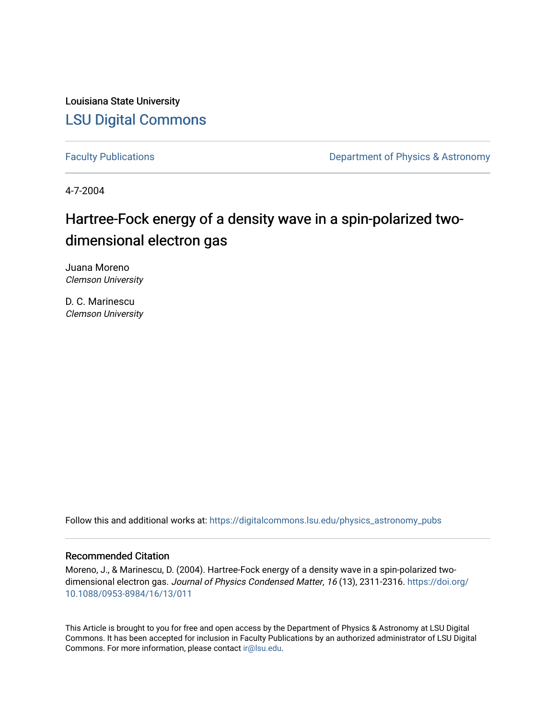Louisiana State University [LSU Digital Commons](https://digitalcommons.lsu.edu/)

[Faculty Publications](https://digitalcommons.lsu.edu/physics_astronomy_pubs) **Exercise 2 and Table 2 and Table 2 and Table 2 and Table 2 and Table 2 and Table 2 and Table 2 and Table 2 and Table 2 and Table 2 and Table 2 and Table 2 and Table 2 and Table 2 and Table 2 and Table** 

4-7-2004

# Hartree-Fock energy of a density wave in a spin-polarized twodimensional electron gas

Juana Moreno Clemson University

D. C. Marinescu Clemson University

Follow this and additional works at: [https://digitalcommons.lsu.edu/physics\\_astronomy\\_pubs](https://digitalcommons.lsu.edu/physics_astronomy_pubs?utm_source=digitalcommons.lsu.edu%2Fphysics_astronomy_pubs%2F3631&utm_medium=PDF&utm_campaign=PDFCoverPages) 

## Recommended Citation

Moreno, J., & Marinescu, D. (2004). Hartree-Fock energy of a density wave in a spin-polarized twodimensional electron gas. Journal of Physics Condensed Matter, 16 (13), 2311-2316. [https://doi.org/](https://doi.org/10.1088/0953-8984/16/13/011) [10.1088/0953-8984/16/13/011](https://doi.org/10.1088/0953-8984/16/13/011) 

This Article is brought to you for free and open access by the Department of Physics & Astronomy at LSU Digital Commons. It has been accepted for inclusion in Faculty Publications by an authorized administrator of LSU Digital Commons. For more information, please contact [ir@lsu.edu](mailto:ir@lsu.edu).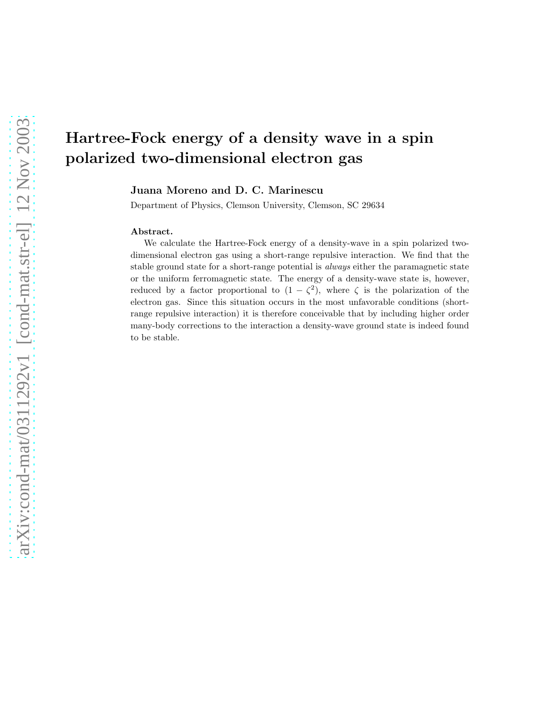Juana Moreno and D. C. Marinescu

Department of Physics, Clemson University, Clemson, SC 29634

#### Abstract.

We calculate the Hartree-Fock energy of a density-wave in a spin polarized twodimensional electron gas using a short-range repulsive interaction. We find that the stable ground state for a short-range potential is *always* either the paramagnetic state or the uniform ferromagnetic state. The energy of a density-wave state is, however, reduced by a factor proportional to  $(1 - \zeta^2)$ , where  $\zeta$  is the polarization of the electron gas. Since this situation occurs in the most unfavorable conditions (shortrange repulsive interaction) it is therefore conceivable that by including higher order many-body corrections to the interaction a density-wave ground state is indeed found to be stable.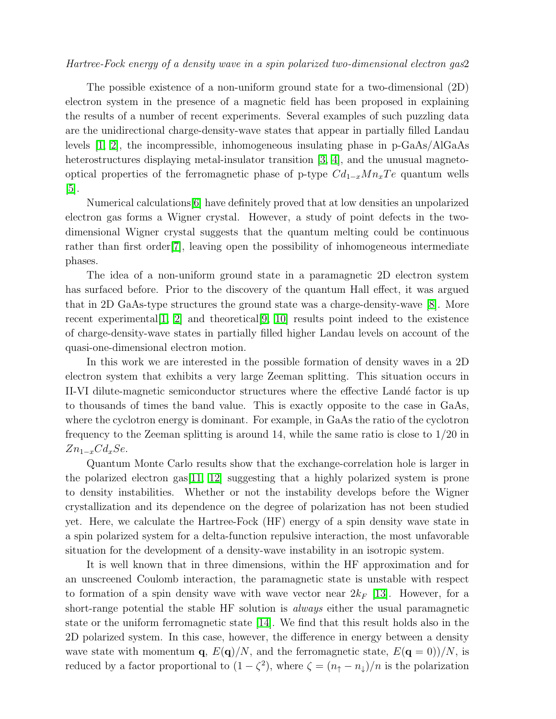The possible existence of a non-uniform ground state for a two-dimensional (2D) electron system in the presence of a magnetic field has been proposed in explaining the results of a number of recent experiments. Several examples of such puzzling data are the unidirectional charge-density-wave states that appear in partially filled Landau levels [\[1,](#page-6-0) [2\]](#page-6-1), the incompressible, inhomogeneous insulating phase in p-GaAs/AlGaAs heterostructures displaying metal-insulator transition [\[3,](#page-6-2) [4\]](#page-6-3), and the unusual magnetooptical properties of the ferromagnetic phase of p-type  $Cd_{1-x}M_{x}Te$  quantum wells [\[5\]](#page-6-4).

Numerical calculations[\[6\]](#page-6-5) have definitely proved that at low densities an unpolarized electron gas forms a Wigner crystal. However, a study of point defects in the twodimensional Wigner crystal suggests that the quantum melting could be continuous rather than first order[\[7\]](#page-7-0), leaving open the possibility of inhomogeneous intermediate phases.

The idea of a non-uniform ground state in a paramagnetic 2D electron system has surfaced before. Prior to the discovery of the quantum Hall effect, it was argued that in 2D GaAs-type structures the ground state was a charge-density-wave [\[8\]](#page-7-1). More recent experimental  $[1, 2]$  $[1, 2]$  and theoretical  $[9, 10]$  $[9, 10]$  results point indeed to the existence of charge-density-wave states in partially filled higher Landau levels on account of the quasi-one-dimensional electron motion.

In this work we are interested in the possible formation of density waves in a 2D electron system that exhibits a very large Zeeman splitting. This situation occurs in II-VI dilute-magnetic semiconductor structures where the effective Land´e factor is up to thousands of times the band value. This is exactly opposite to the case in GaAs, where the cyclotron energy is dominant. For example, in GaAs the ratio of the cyclotron frequency to the Zeeman splitting is around 14, while the same ratio is close to 1/20 in  $Zn_{1-x}Cd_xSe$ .

Quantum Monte Carlo results show that the exchange-correlation hole is larger in the polarized electron gas  $[11, 12]$  $[11, 12]$  suggesting that a highly polarized system is prone to density instabilities. Whether or not the instability develops before the Wigner crystallization and its dependence on the degree of polarization has not been studied yet. Here, we calculate the Hartree-Fock (HF) energy of a spin density wave state in a spin polarized system for a delta-function repulsive interaction, the most unfavorable situation for the development of a density-wave instability in an isotropic system.

It is well known that in three dimensions, within the HF approximation and for an unscreened Coulomb interaction, the paramagnetic state is unstable with respect to formation of a spin density wave with wave vector near  $2k_F$  [\[13\]](#page-7-6). However, for a short-range potential the stable HF solution is always either the usual paramagnetic state or the uniform ferromagnetic state [\[14\]](#page-7-7). We find that this result holds also in the 2D polarized system. In this case, however, the difference in energy between a density wave state with momentum **q**,  $E(\mathbf{q})/N$ , and the ferromagnetic state,  $E(\mathbf{q} = 0)/N$ , is reduced by a factor proportional to  $(1 - \zeta^2)$ , where  $\zeta = (n_{\uparrow} - n_{\downarrow})/n$  is the polarization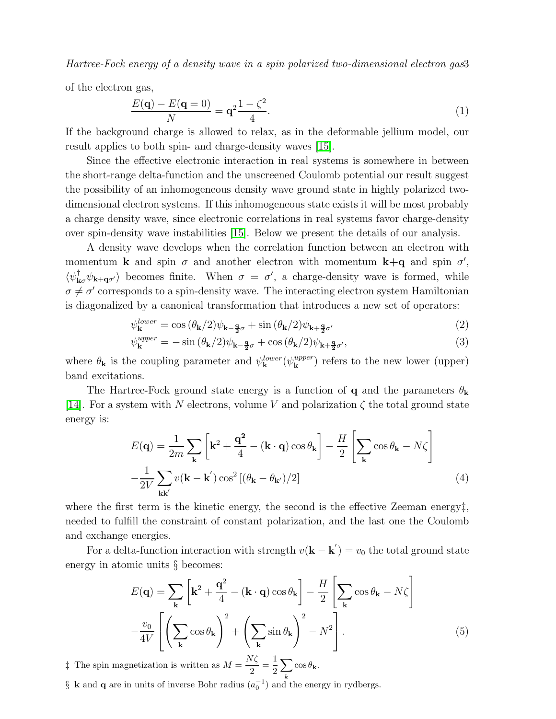of the electron gas,

$$
\frac{E(\mathbf{q}) - E(\mathbf{q} = 0)}{N} = \mathbf{q}^2 \frac{1 - \zeta^2}{4}.
$$
\n(1)

If the background charge is allowed to relax, as in the deformable jellium model, our result applies to both spin- and charge-density waves [\[15\]](#page-7-8).

Since the effective electronic interaction in real systems is somewhere in between the short-range delta-function and the unscreened Coulomb potential our result suggest the possibility of an inhomogeneous density wave ground state in highly polarized twodimensional electron systems. If this inhomogeneous state exists it will be most probably a charge density wave, since electronic correlations in real systems favor charge-density over spin-density wave instabilities [\[15\]](#page-7-8). Below we present the details of our analysis.

A density wave develops when the correlation function between an electron with momentum **k** and spin  $\sigma$  and another electron with momentum **k**+q and spin  $\sigma'$ ,  $\langle \psi_{\mathbf{k}\sigma}^{\dagger} \psi_{\mathbf{k}+\mathbf{q}\sigma'} \rangle$  becomes finite. When  $\sigma = \sigma'$ , a charge-density wave is formed, while  $\sigma \neq \sigma'$  corresponds to a spin-density wave. The interacting electron system Hamiltonian is diagonalized by a canonical transformation that introduces a new set of operators:

$$
\psi_{\mathbf{k}}^{lower} = \cos\left(\theta_{\mathbf{k}}/2\right)\psi_{\mathbf{k}-\frac{\mathbf{q}}{2}\sigma} + \sin\left(\theta_{\mathbf{k}}/2\right)\psi_{\mathbf{k}+\frac{\mathbf{q}}{2}\sigma'}\tag{2}
$$

$$
\psi_{\mathbf{k}}^{upper} = -\sin\left(\theta_{\mathbf{k}}/2\right)\psi_{\mathbf{k}-\frac{\mathbf{q}}{2}\sigma} + \cos\left(\theta_{\mathbf{k}}/2\right)\psi_{\mathbf{k}+\frac{\mathbf{q}}{2}\sigma'},\tag{3}
$$

where  $\theta_{\mathbf{k}}$  is the coupling parameter and  $\psi_{\mathbf{k}}^{lower}(\psi_{\mathbf{k}}^{upper})$  $\mathbf{k}^{upper}$ ) refers to the new lower (upper) band excitations.

The Hartree-Fock ground state energy is a function of **q** and the parameters  $\theta_{\mathbf{k}}$ [\[14\]](#page-7-7). For a system with N electrons, volume V and polarization  $\zeta$  the total ground state energy is:

$$
E(\mathbf{q}) = \frac{1}{2m} \sum_{\mathbf{k}} \left[ \mathbf{k}^2 + \frac{\mathbf{q}^2}{4} - (\mathbf{k} \cdot \mathbf{q}) \cos \theta_{\mathbf{k}} \right] - \frac{H}{2} \left[ \sum_{\mathbf{k}} \cos \theta_{\mathbf{k}} - N \zeta \right]
$$

$$
-\frac{1}{2V} \sum_{\mathbf{k}\mathbf{k}'} v(\mathbf{k} - \mathbf{k}') \cos^2 \left[ (\theta_{\mathbf{k}} - \theta_{\mathbf{k}'} )/2 \right]
$$
(4)

where the first term is the kinetic energy, the second is the effective Zeeman energy $\ddagger$ , needed to fulfill the constraint of constant polarization, and the last one the Coulomb and exchange energies.

<span id="page-3-0"></span>For a delta-function interaction with strength  $v(\mathbf{k} - \mathbf{k}') = v_0$  the total ground state energy in atomic units § becomes:

$$
E(\mathbf{q}) = \sum_{\mathbf{k}} \left[ \mathbf{k}^2 + \frac{\mathbf{q}^2}{4} - (\mathbf{k} \cdot \mathbf{q}) \cos \theta_{\mathbf{k}} \right] - \frac{H}{2} \left[ \sum_{\mathbf{k}} \cos \theta_{\mathbf{k}} - N\zeta \right]
$$

$$
-\frac{v_0}{4V} \left[ \left( \sum_{\mathbf{k}} \cos \theta_{\mathbf{k}} \right)^2 + \left( \sum_{\mathbf{k}} \sin \theta_{\mathbf{k}} \right)^2 - N^2 \right].
$$
(5)

<sup> $\ddagger$ </sup> The spin magnetization is written as  $M = \frac{N\zeta}{2}$  $\frac{\sqrt{\zeta}}{2} = \frac{1}{2}$ 2  $\sum$ k  $\cos \theta_{\mathbf{k}}$ .

§ **k** and **q** are in units of inverse Bohr radius  $(a_0^{-1})$  and the energy in rydbergs.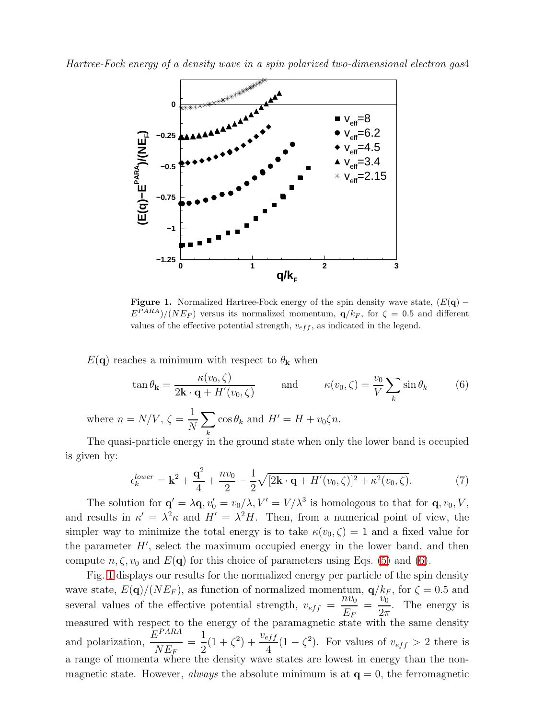

<span id="page-4-1"></span>Figure 1. Normalized Hartree-Fock energy of the spin density wave state,  $(E(q) E^{PARA}$ )/(NE<sub>F</sub>) versus its normalized momentum,  $\mathbf{q}/k_F$ , for  $\zeta = 0.5$  and different values of the effective potential strength,  $v_{eff}$ , as indicated in the legend.

<span id="page-4-0"></span> $E(\mathbf{q})$  reaches a minimum with respect to  $\theta_{\mathbf{k}}$  when

$$
\tan \theta_{\mathbf{k}} = \frac{\kappa(v_0, \zeta)}{2\mathbf{k} \cdot \mathbf{q} + H'(v_0, \zeta)} \quad \text{and} \quad \kappa(v_0, \zeta) = \frac{v_0}{V} \sum_{k} \sin \theta_k \quad (6)
$$

where  $n = N/V, \zeta =$ 1 N  $\sum$ k  $\cos \theta_k$  and  $H' = H + v_0 \zeta n$ .

The quasi-particle energy in the ground state when only the lower band is occupied is given by:

$$
\epsilon_k^{lower} = \mathbf{k}^2 + \frac{\mathbf{q}^2}{4} + \frac{nv_0}{2} - \frac{1}{2}\sqrt{[2\mathbf{k}\cdot\mathbf{q} + H'(v_0,\zeta)]^2 + \kappa^2(v_0,\zeta)}.
$$
(7)

The solution for  $\mathbf{q}' = \lambda \mathbf{q}, v'_0 = v_0/\lambda, V' = V/\lambda^3$  is homologous to that for  $\mathbf{q}, v_0, V$ , and results in  $\kappa' = \lambda^2 \kappa$  and  $H' = \lambda^2 H$ . Then, from a numerical point of view, the simpler way to minimize the total energy is to take  $\kappa(v_0, \zeta) = 1$  and a fixed value for the parameter  $H'$ , select the maximum occupied energy in the lower band, and then compute  $n, \zeta, v_0$  and  $E(\mathbf{q})$  for this choice of parameters using Eqs. [\(5\)](#page-3-0) and [\(6\)](#page-4-0).

Fig. [1](#page-4-1) displays our results for the normalized energy per particle of the spin density wave state,  $E(\mathbf{q})/(NE_F)$ , as function of normalized momentum,  $\mathbf{q}/k_F$ , for  $\zeta = 0.5$  and several values of the effective potential strength,  $v_{eff}$  =  $\bar n v_0$  $E_{F}$ =  $v_0$  $2\pi$ . The energy is measured with respect to the energy of the paramagnetic state with the same density and polarization,  $\frac{E^{PARA}}{NE}$  $NE_{\bar{F}}$ = 1 2  $(1+\zeta^2)+\frac{v_{eff}}{4}$ 4  $(1 - \zeta^2)$ . For values of  $v_{eff} > 2$  there is a range of momenta where the density wave states are lowest in energy than the nonmagnetic state. However, *always* the absolute minimum is at  $q = 0$ , the ferromagnetic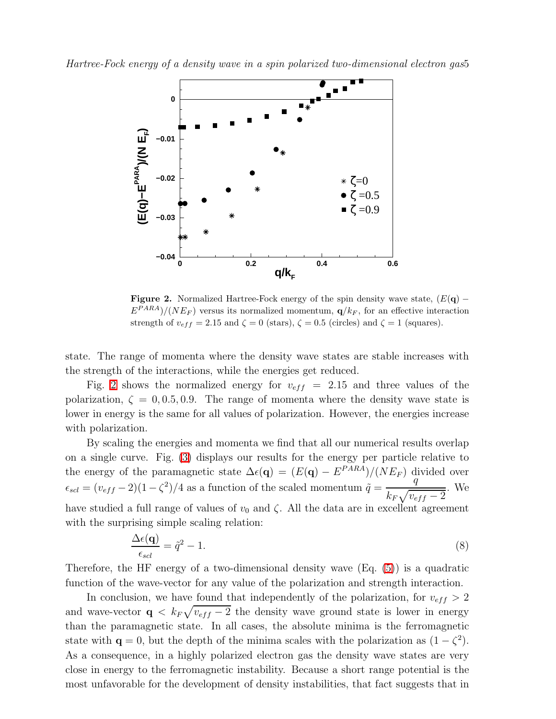

<span id="page-5-0"></span>Figure 2. Normalized Hartree-Fock energy of the spin density wave state,  $(E(q) E^{PARA})/(NE_F)$  versus its normalized momentum,  $\mathbf{q}/k_F$ , for an effective interaction strength of  $v_{eff} = 2.15$  and  $\zeta = 0$  (stars),  $\zeta = 0.5$  (circles) and  $\zeta = 1$  (squares).

state. The range of momenta where the density wave states are stable increases with the strength of the interactions, while the energies get reduced.

Fig. [2](#page-5-0) shows the normalized energy for  $v_{eff}$  = 2.15 and three values of the polarization,  $\zeta = 0, 0.5, 0.9$ . The range of momenta where the density wave state is lower in energy is the same for all values of polarization. However, the energies increase with polarization.

By scaling the energies and momenta we find that all our numerical results overlap on a single curve. Fig. [\(3\)](#page-6-6) displays our results for the energy per particle relative to the energy of the paramagnetic state  $\Delta \epsilon(\mathbf{q}) = (E(\mathbf{q}) - E^{PARA})/(NE_F)$  divided over  $\epsilon_{sd} = (v_{eff} - 2)(1 - \zeta^2)/4$  as a function of the scaled momentum  $\tilde{q} =$ q  $k_F\sqrt{v_{eff}-2}$ . We have studied a full range of values of  $v_0$  and  $\zeta$ . All the data are in excellent agreement with the surprising simple scaling relation:

$$
\frac{\Delta \epsilon(\mathbf{q})}{\epsilon_{scl}} = \tilde{q}^2 - 1. \tag{8}
$$

<span id="page-5-1"></span>Therefore, the HF energy of a two-dimensional density wave (Eq. [\(5\)](#page-3-0)) is a quadratic function of the wave-vector for any value of the polarization and strength interaction.

In conclusion, we have found that independently of the polarization, for  $v_{eff} > 2$ and wave-vector  $q \langle k_F \sqrt{v_{eff} - 2} \rangle$  the density wave ground state is lower in energy than the paramagnetic state. In all cases, the absolute minima is the ferromagnetic state with  $\mathbf{q} = 0$ , but the depth of the minima scales with the polarization as  $(1 - \zeta^2)$ . As a consequence, in a highly polarized electron gas the density wave states are very close in energy to the ferromagnetic instability. Because a short range potential is the most unfavorable for the development of density instabilities, that fact suggests that in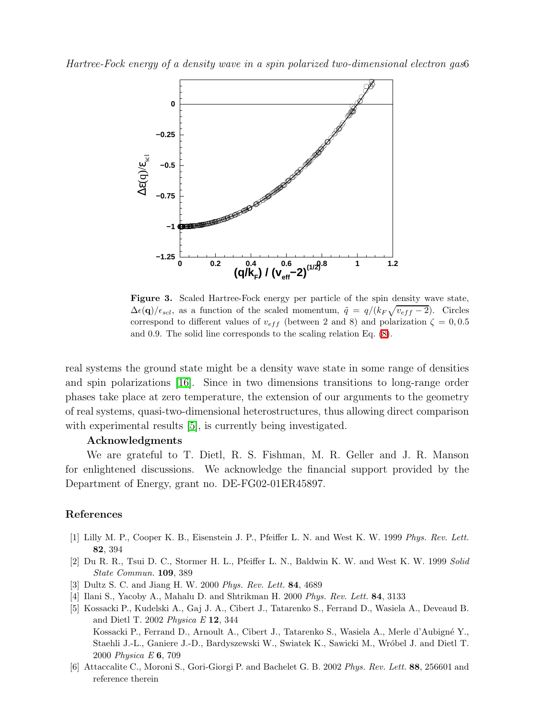

<span id="page-6-6"></span>Figure 3. Scaled Hartree-Fock energy per particle of the spin density wave state,  $\Delta \epsilon(\mathbf{q})/\epsilon_{scl}$ , as a function of the scaled momentum,  $\tilde{q} = q/(k_F\sqrt{v_{eff}-2})$ . Circles correspond to different values of  $v_{eff}$  (between 2 and 8) and polarization  $\zeta = 0.05$ and 0.9. The solid line corresponds to the scaling relation Eq. [\(8\)](#page-5-1).

real systems the ground state might be a density wave state in some range of densities and spin polarizations [\[16\]](#page-7-9). Since in two dimensions transitions to long-range order phases take place at zero temperature, the extension of our arguments to the geometry of real systems, quasi-two-dimensional heterostructures, thus allowing direct comparison with experimental results [\[5\]](#page-6-4), is currently being investigated.

## Acknowledgments

We are grateful to T. Dietl, R. S. Fishman, M. R. Geller and J. R. Manson for enlightened discussions. We acknowledge the financial support provided by the Department of Energy, grant no. DE-FG02-01ER45897.

### <span id="page-6-0"></span>References

- <span id="page-6-1"></span>[1] Lilly M. P., Cooper K. B., Eisenstein J. P., Pfeiffer L. N. and West K. W. 1999 Phys. Rev. Lett. 82, 394
- <span id="page-6-2"></span>[2] Du R. R., Tsui D. C., Stormer H. L., Pfeiffer L. N., Baldwin K. W. and West K. W. 1999 Solid State Commun. 109, 389
- <span id="page-6-3"></span>[3] Dultz S. C. and Jiang H. W. 2000 Phys. Rev. Lett. 84, 4689
- <span id="page-6-4"></span>[4] Ilani S., Yacoby A., Mahalu D. and Shtrikman H. 2000 Phys. Rev. Lett. 84, 3133
- [5] Kossacki P., Kudelski A., Gaj J. A., Cibert J., Tatarenko S., Ferrand D., Wasiela A., Deveaud B. and Dietl T. 2002 Physica E 12, 344 Kossacki P., Ferrand D., Arnoult A., Cibert J., Tatarenko S., Wasiela A., Merle d'Aubigné Y., Staehli J.-L., Ganiere J.-D., Bardyszewski W., Swiatek K., Sawicki M., Wróbel J. and Dietl T. 2000 Physica E 6, 709
- <span id="page-6-5"></span>[6] Attaccalite C., Moroni S., Gori-Giorgi P. and Bachelet G. B. 2002 Phys. Rev. Lett. 88, 256601 and reference therein